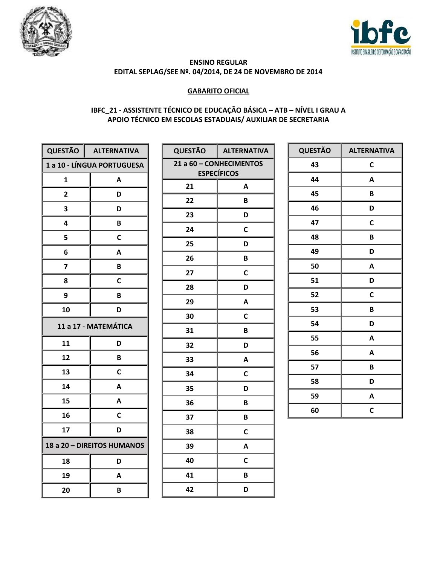



## **GABARITO OFICIAL**

## IBFC\_21 - ASSISTENTE TÉCNICO DE EDUCAÇÃO BÁSICA - ATB - NÍVEL I GRAU A APOIO TÉCNICO EM ESCOLAS ESTADUAIS/ AUXILIAR DE SECRETARIA

| <b>QUESTÃO</b>             | <b>ALTERNATIVA</b> |
|----------------------------|--------------------|
| 1 a 10 - LÍNGUA PORTUGUESA |                    |
| 1                          | A                  |
| $\overline{2}$             | D                  |
| 3                          | D                  |
| 4                          | В                  |
| 5                          | C                  |
| 6                          | A                  |
| 7                          | В                  |
| 8                          | C                  |
| 9                          | B                  |
| 10                         | D                  |
| 11 a 17 - MATEMÁTICA       |                    |
| 11                         | D                  |
| 12                         | В                  |
| 13                         | C                  |
| 14                         | A                  |
| 15                         | A                  |
| 16                         | C                  |
| 17                         | D                  |
| 18 a 20 - DIREITOS HUMANOS |                    |
| 18                         | D                  |
| 19                         | A                  |
| 20                         | B                  |

| <b>QUESTÃO</b>                                | <b>ALTERNATIVA</b> |  |
|-----------------------------------------------|--------------------|--|
| 21 a 60 - CONHECIMENTOS<br><b>ESPECÍFICOS</b> |                    |  |
| 21                                            | A                  |  |
| 22                                            | B                  |  |
| 23                                            | D                  |  |
| 24                                            | C                  |  |
| 25                                            | D                  |  |
| 26                                            | B                  |  |
| 27                                            | C                  |  |
| 28                                            | D                  |  |
| 29                                            | A                  |  |
| 30                                            | C                  |  |
| 31                                            | B                  |  |
| 32                                            | D                  |  |
| 33                                            | A                  |  |
| 34                                            | C                  |  |
| 35                                            | D                  |  |
| 36                                            | B                  |  |
| 37                                            | B                  |  |
| 38                                            | C                  |  |
| 39                                            | A                  |  |
| 40                                            | C                  |  |
| 41                                            | B                  |  |
| 42                                            | D                  |  |

| <b>QUESTÃO</b> | <b>ALTERNATIVA</b> |
|----------------|--------------------|
| 43             | C                  |
| 44             | A                  |
| 45             | B                  |
| 46             | D                  |
| 47             | C                  |
| 48             | B                  |
| 49             | D                  |
| 50             | A                  |
| 51             | D                  |
| 52             | C                  |
| 53             | B                  |
| 54             | D                  |
| 55             | A                  |
| 56             | A                  |
| 57             | B                  |
| 58             | D                  |
| 59             | A                  |
| 60             | C                  |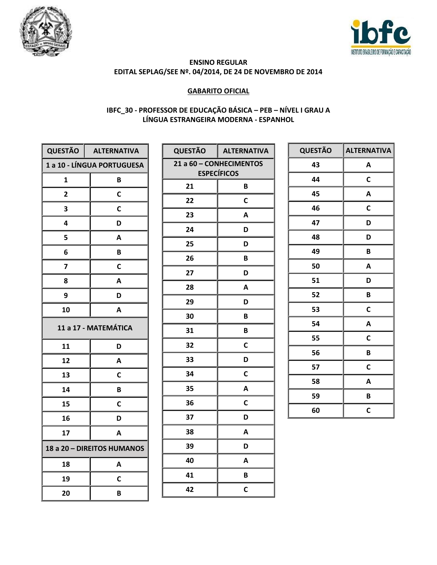



## **GABARITO OFICIAL**

## IBFC\_30 - PROFESSOR DE EDUCAÇÃO BÁSICA - PEB - NÍVEL I GRAU A LÍNGUA ESTRANGEIRA MODERNA - ESPANHOL

| QUESTÃO                    | <b>ALTERNATIVA</b>         |
|----------------------------|----------------------------|
|                            | 1 a 10 - LÍNGUA PORTUGUESA |
| 1                          | B                          |
| $\overline{\mathbf{c}}$    | C                          |
| 3                          | С                          |
| 4                          | D                          |
| 5                          | Α                          |
| 6                          | B                          |
| 7                          | C                          |
| 8                          | A                          |
| 9                          | D                          |
| 10                         | А                          |
| 11 a 17 - MATEMÁTICA       |                            |
| 11                         | D                          |
| 12                         | A                          |
| 13                         | C                          |
| 14                         | В                          |
| 15                         | C                          |
| 16                         | D                          |
| 17                         | A                          |
| 18 a 20 - DIREITOS HUMANOS |                            |
| 18                         | Α                          |
| 19                         | С                          |
| 20                         | B                          |

| <b>QUESTÃO</b>                                | <b>ALTERNATIVA</b> |  |
|-----------------------------------------------|--------------------|--|
| 21 a 60 - CONHECIMENTOS<br><b>ESPECÍFICOS</b> |                    |  |
| 21                                            | B                  |  |
| 22                                            | C                  |  |
| 23                                            | A                  |  |
| 24                                            | D                  |  |
| 25                                            | D                  |  |
| 26                                            | B                  |  |
| 27                                            | D                  |  |
| 28                                            | A                  |  |
| 29                                            | D                  |  |
| 30                                            | B                  |  |
| 31                                            | B                  |  |
| 32                                            | C                  |  |
| 33                                            | D                  |  |
| 34                                            | C                  |  |
| 35                                            | A                  |  |
| 36                                            | C                  |  |
| 37                                            | D                  |  |
| 38                                            | A                  |  |
| 39                                            | D                  |  |
| 40                                            | A                  |  |
| 41                                            | B                  |  |
| 42                                            | C                  |  |

| <b>QUESTÃO</b> | <b>ALTERNATIVA</b> |
|----------------|--------------------|
| 43             | A                  |
| 44             | C                  |
| 45             | A                  |
| 46             | $\mathbf C$        |
| 47             | D                  |
| 48             | D                  |
| 49             | B                  |
| 50             | A                  |
| 51             | D                  |
| 52             | B                  |
| 53             | C                  |
| 54             | A                  |
| 55             | C                  |
| 56             | B                  |
| 57             | C                  |
| 58             | A                  |
| 59             | B                  |
| 60             | C                  |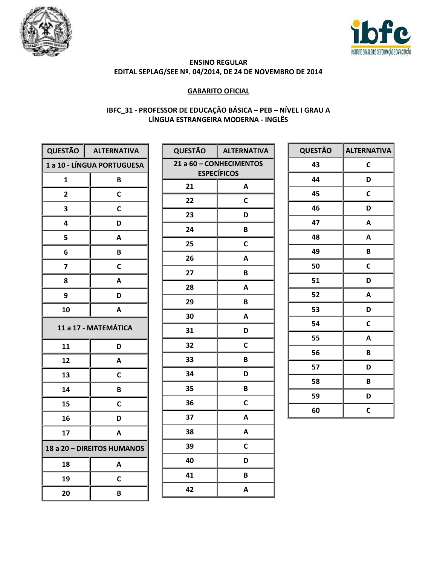



## **GABARITO OFICIAL**

## IBFC\_31 - PROFESSOR DE EDUCAÇÃO BÁSICA - PEB - NÍVEL I GRAU A LÍNGUA ESTRANGEIRA MODERNA - INGLÊS

| QUESTÃO                    | <b>ALTERNATIVA</b> |
|----------------------------|--------------------|
| 1 a 10 - LÍNGUA PORTUGUESA |                    |
| 1                          | B                  |
| $\overline{2}$             | C                  |
| 3                          | С                  |
| 4                          | D                  |
| 5                          | A                  |
| 6                          | В                  |
| 7                          | C                  |
| 8                          | A                  |
| 9                          | D                  |
| 10                         | А                  |
| 11 a 17 - MATEMÁTICA       |                    |
| 11                         | D                  |
| 12                         | A                  |
| 13                         | C                  |
| 14                         | В                  |
| 15                         | C                  |
| 16                         | D                  |
| 17                         | Α                  |
| 18 a 20 - DIREITOS HUMANOS |                    |
| 18                         | Α                  |
| 19                         | С                  |
| 20                         | В                  |

| <b>QUESTÃO</b>                                | <b>ALTERNATIVA</b> |  |
|-----------------------------------------------|--------------------|--|
| 21 a 60 - CONHECIMENTOS<br><b>ESPECÍFICOS</b> |                    |  |
| 21                                            | A                  |  |
| 22                                            | C                  |  |
| 23                                            | D                  |  |
| 24                                            | В                  |  |
| 25                                            | C                  |  |
| 26                                            | A                  |  |
| 27                                            | B                  |  |
| 28                                            | Α                  |  |
| 29                                            | в                  |  |
| 30                                            | A                  |  |
| 31                                            | D                  |  |
| 32                                            | C                  |  |
| 33                                            | B                  |  |
| 34                                            | D                  |  |
| 35                                            | B                  |  |
| 36                                            | C                  |  |
| 37                                            | A                  |  |
| 38                                            | A                  |  |
| 39                                            | $\mathbf C$        |  |
| 40                                            | D                  |  |
| 41                                            | B                  |  |
| 42                                            | A                  |  |

| <b>QUESTÃO</b> | <b>ALTERNATIVA</b> |
|----------------|--------------------|
| 43             | C                  |
| 44             | D                  |
| 45             | C                  |
| 46             | D                  |
| 47             | A                  |
| 48             | A                  |
| 49             | B                  |
| 50             | C                  |
| 51             | D                  |
| 52             | A                  |
| 53             | D                  |
| 54             | C                  |
| 55             | A                  |
| 56             | B                  |
| 57             | D                  |
| 58             | B                  |
| 59             | D                  |
| 60             | C                  |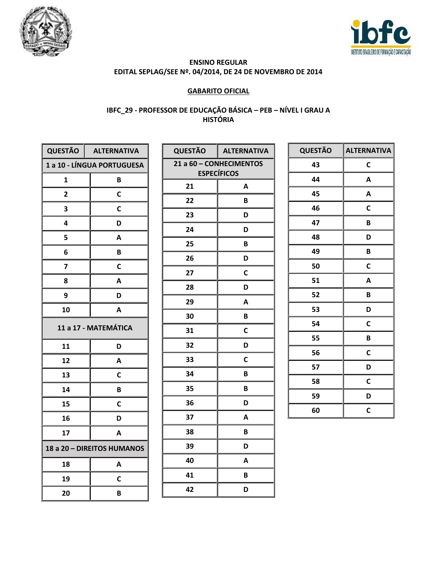



## **GABARITO OFICIAL**

## IBFC\_29 - PROFESSOR DE EDUCAÇÃO BÁSICA - PEB - NÍVEL I GRAU A **HISTÓRIA**

| <b>QUESTÃO</b>             | <b>ALTERNATIVA</b>         |  |
|----------------------------|----------------------------|--|
|                            | 1 a 10 - LÍNGUA PORTUGUESA |  |
| 1                          | B                          |  |
| $\overline{\mathbf{c}}$    | C                          |  |
| 3                          | С                          |  |
| 4                          | D                          |  |
| 5                          | A                          |  |
| 6                          | В                          |  |
| 7                          | С                          |  |
| 8                          | A                          |  |
| 9                          | D                          |  |
| 10                         | A                          |  |
| 11 a 17 - MATEMÁTICA       |                            |  |
| 11                         | D                          |  |
| 12                         | A                          |  |
| 13                         | C                          |  |
| 14                         | В                          |  |
| 15                         | C                          |  |
| 16                         | D                          |  |
| 17                         | A                          |  |
| 18 a 20 - DIREITOS HUMANOS |                            |  |
| 18                         | A                          |  |
| 19                         | С                          |  |
| 20                         | B                          |  |

| <b>QUESTÃO</b> | <b>ALTERNATIVA</b>      |
|----------------|-------------------------|
|                | 21 a 60 - CONHECIMENTOS |
|                | <b>ESPECÍFICOS</b>      |
| 21             | A                       |
| 22             | B                       |
| 23             | D                       |
| 24             | D                       |
| 25             | B                       |
| 26             | D                       |
| 27             | C                       |
| 28             | D                       |
| 29             | A                       |
| 30             | В                       |
| 31             | C                       |
| 32             | D                       |
| 33             | C                       |
| 34             | B                       |
| 35             | B                       |
| 36             | D                       |
| 37             | A                       |
| 38             | B                       |
| 39             | D                       |
| 40             | Α                       |
| 41             | B                       |
| 42             | D                       |

| <b>QUESTÃO</b> | <b>ALTERNATIVA</b> |
|----------------|--------------------|
| 43             | C                  |
| 44             | A                  |
| 45             | A                  |
| 46             | C                  |
| 47             | B                  |
| 48             | D                  |
| 49             | B                  |
| 50             | C                  |
| 51             | A                  |
| 52             | B                  |
| 53             | D                  |
| 54             | C                  |
| 55             | B                  |
| 56             | C                  |
| 57             | D                  |
| 58             | C                  |
| 59             | D                  |
| 60             | C                  |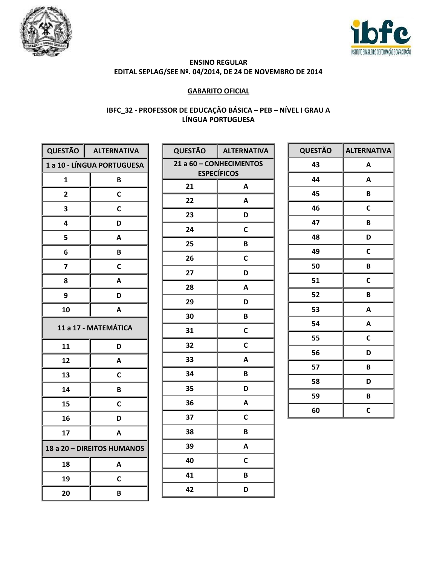



## **GABARITO OFICIAL**

## IBFC\_32 - PROFESSOR DE EDUCAÇÃO BÁSICA - PEB - NÍVEL I GRAU A LÍNGUA PORTUGUESA

| QUESTÃO                    | <b>ALTERNATIVA</b> |  |
|----------------------------|--------------------|--|
| 1 a 10 - LÍNGUA PORTUGUESA |                    |  |
| 1                          | B                  |  |
| $\overline{2}$             | C                  |  |
| 3                          | C                  |  |
| 4                          | D                  |  |
| 5                          | A                  |  |
| 6                          | B                  |  |
| 7                          | C                  |  |
| 8                          | A                  |  |
| 9                          | D                  |  |
| 10                         | A                  |  |
| 11 a 17 - MATEMÁTICA       |                    |  |
| 11                         | D                  |  |
| 12                         | A                  |  |
| 13                         | C                  |  |
| 14                         | В                  |  |
| 15                         | C                  |  |
| 16                         | D                  |  |
| 17                         | Α                  |  |
| 18 a 20 - DIREITOS HUMANOS |                    |  |
| 18                         | A                  |  |
| 19                         | С                  |  |
| 20                         | В                  |  |

| <b>QUESTÃO</b>          | <b>ALTERNATIVA</b> |  |
|-------------------------|--------------------|--|
| 21 a 60 - CONHECIMENTOS |                    |  |
|                         | <b>ESPECÍFICOS</b> |  |
| 21                      | A                  |  |
| 22                      | Α                  |  |
| 23                      | D                  |  |
| 24                      | $\mathbf c$        |  |
| 25                      | B                  |  |
| 26                      | C                  |  |
| 27                      | D                  |  |
| 28                      | A                  |  |
| 29                      | D                  |  |
| 30                      | B                  |  |
| 31                      | C                  |  |
| 32                      | C                  |  |
| 33                      | A                  |  |
| 34                      | B                  |  |
| 35                      | D                  |  |
| 36                      | A                  |  |
| 37                      | C                  |  |
| 38                      | В                  |  |
| 39                      | А                  |  |
| 40                      | C                  |  |
| 41                      | B                  |  |
| 42                      | D                  |  |

| <b>QUESTÃO</b> | <b>ALTERNATIVA</b> |
|----------------|--------------------|
| 43             | A                  |
| 44             | A                  |
| 45             | B                  |
| 46             | C                  |
| 47             | B                  |
| 48             | D                  |
| 49             | C                  |
| 50             | B                  |
| 51             | C                  |
| 52             | B                  |
| 53             | A                  |
| 54             | A                  |
| 55             | C                  |
| 56             | D                  |
| 57             | B                  |
| 58             | D                  |
| 59             | B                  |
| 60             | C                  |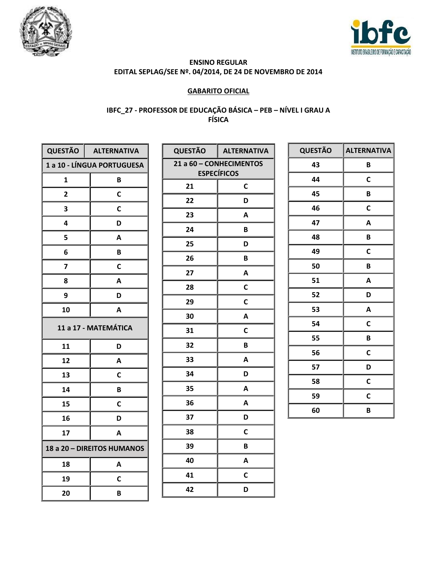



## **GABARITO OFICIAL**

## IBFC\_27 - PROFESSOR DE EDUCAÇÃO BÁSICA - PEB - NÍVEL I GRAU A<br>FÍSICA

| <b>QUESTÃO</b>             | <b>ALTERNATIVA</b> |  |
|----------------------------|--------------------|--|
| 1 a 10 - LÍNGUA PORTUGUESA |                    |  |
| 1                          | B                  |  |
| $\overline{\mathbf{c}}$    | C                  |  |
| 3                          | C                  |  |
| 4                          | D                  |  |
| 5                          | Α                  |  |
| 6                          | B                  |  |
| 7                          | С                  |  |
| 8                          | Α                  |  |
| 9                          | D                  |  |
| 10                         | A                  |  |
| 11 a 17 - MATEMÁTICA       |                    |  |
| 11                         | D                  |  |
| 12                         | A                  |  |
| 13                         | C                  |  |
| 14                         | В                  |  |
| 15                         | C                  |  |
| 16                         | D                  |  |
| 17                         | Α                  |  |
| 18 a 20 - DIREITOS HUMANOS |                    |  |
| 18                         | A                  |  |
| 19                         | C                  |  |
| 20                         | В                  |  |

| <b>QUESTÃO</b> | <b>ALTERNATIVA</b>      |
|----------------|-------------------------|
|                | 21 a 60 - CONHECIMENTOS |
|                | <b>ESPECÍFICOS</b>      |
| 21             | C                       |
| 22             | D                       |
| 23             | A                       |
| 24             | B                       |
| 25             | D                       |
| 26             | B                       |
| 27             | A                       |
| 28             | C                       |
| 29             | $\mathsf{C}$            |
| 30             | A                       |
| 31             | $\mathbf C$             |
| 32             | B                       |
| 33             | A                       |
| 34             | D                       |
| 35             | A                       |
| 36             | A                       |
| 37             | D                       |
| 38             | C                       |
| 39             | B                       |
| 40             | A                       |
| 41             | C                       |
| 42             | D                       |

| <b>QUESTÃO</b> | <b>ALTERNATIVA</b> |
|----------------|--------------------|
| 43             | B                  |
| 44             | C                  |
| 45             | B                  |
| 46             | C                  |
| 47             | A                  |
| 48             | B                  |
| 49             | $\mathbf c$        |
| 50             | B                  |
| 51             | A                  |
| 52             | D                  |
| 53             | A                  |
| 54             | C                  |
| 55             | B                  |
| 56             | C                  |
| 57             | D                  |
| 58             | C                  |
| 59             | C                  |
| 60             | B                  |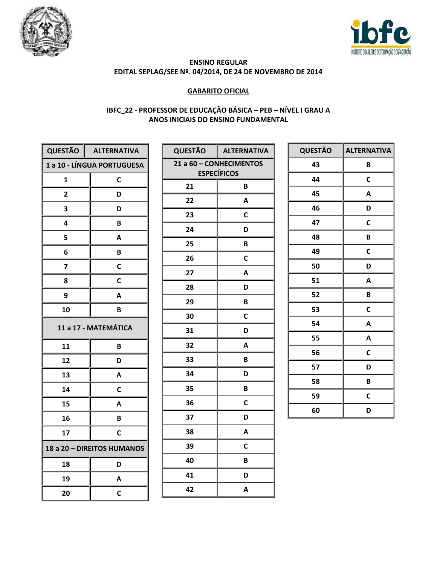



## **GABARITO OFICIAL**

## IBFC\_22 - PROFESSOR DE EDUCAÇÃO BÁSICA - PEB - NÍVEL I GRAU A ANOS INICIAIS DO ENSINO FUNDAMENTAL

| <b>QUESTÃO</b>                    | <b>ALTERNATIVA</b> |  |
|-----------------------------------|--------------------|--|
| <b>1 a 10 - LÍNGUA PORTUGUESA</b> |                    |  |
| 1                                 | C                  |  |
| 2                                 | D                  |  |
| 3                                 | D                  |  |
| 4                                 | B                  |  |
| 5                                 | Α                  |  |
| 6                                 | B                  |  |
| 7                                 | С                  |  |
| 8                                 | С                  |  |
| 9                                 | Α                  |  |
| 10                                | B                  |  |
| 11 a 17 - MATEMÁTICA              |                    |  |
| 11                                | B                  |  |
| 12                                | D                  |  |
| 13                                | A                  |  |
| 14                                | C                  |  |
| 15                                | Α                  |  |
| 16                                | B                  |  |
| 17                                | С                  |  |
| 18 a 20 - DIREITOS HUMANOS        |                    |  |
| 18                                | D                  |  |
| 19                                | A                  |  |
| 20                                | С                  |  |

| <b>QUESTÃO</b>                                | <b>ALTERNATIVA</b> |  |
|-----------------------------------------------|--------------------|--|
|                                               |                    |  |
| 21 a 60 - CONHECIMENTOS<br><b>ESPECÍFICOS</b> |                    |  |
| 21                                            | B                  |  |
| 22                                            | A                  |  |
| 23                                            | C                  |  |
| 24                                            | D                  |  |
| 25                                            | B                  |  |
| 26                                            | C                  |  |
| 27                                            | A                  |  |
| 28                                            | D                  |  |
| 29                                            | B                  |  |
| 30                                            | C                  |  |
| 31                                            | D                  |  |
| 32                                            | А                  |  |
| 33                                            | B                  |  |
| 34                                            | D                  |  |
| 35                                            | B                  |  |
| 36                                            | C                  |  |
| 37                                            | D                  |  |
| 38                                            | A                  |  |
| 39                                            | C                  |  |
| 40                                            | B                  |  |
| 41                                            | D                  |  |
| 42                                            | А                  |  |

| <b>QUESTÃO</b> | <b>ALTERNATIVA</b> |
|----------------|--------------------|
| 43             | B                  |
| 44             | C                  |
| 45             | A                  |
| 46             | D                  |
| 47             | C                  |
| 48             | B                  |
| 49             | C                  |
| 50             | D                  |
| 51             | A                  |
| 52             | B                  |
| 53             | C                  |
| 54             | A                  |
| 55             | A                  |
| 56             | C                  |
| 57             | D                  |
| 58             | B                  |
| 59             | C                  |
| 60             | D                  |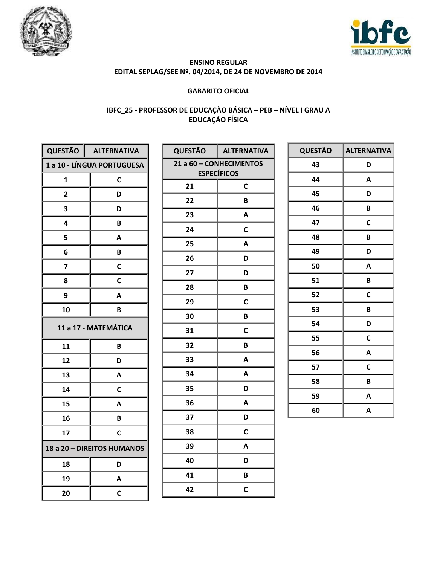



## **GABARITO OFICIAL**

## IBFC\_25 - PROFESSOR DE EDUCAÇÃO BÁSICA - PEB - NÍVEL I GRAU A<br>EDUCAÇÃO FÍSICA

| QUESTÃO                    | <b>ALTERNATIVA</b>         |  |
|----------------------------|----------------------------|--|
|                            | 1 a 10 - LÍNGUA PORTUGUESA |  |
| 1                          | C                          |  |
| $\overline{\mathbf{c}}$    | D                          |  |
| 3                          | D                          |  |
| 4                          | B                          |  |
| 5                          | Α                          |  |
| 6                          | B                          |  |
| 7                          | C                          |  |
| 8                          | C                          |  |
| 9                          | A                          |  |
| 10                         | B                          |  |
| 11 a 17 - MATEMÁTICA       |                            |  |
| 11                         | B                          |  |
| 12                         | D                          |  |
| 13                         | A                          |  |
| 14                         | C                          |  |
| 15                         | A                          |  |
| 16                         | B                          |  |
| 17                         | C                          |  |
| 18 a 20 - DIREITOS HUMANOS |                            |  |
| 18                         | D                          |  |
| 19                         | А                          |  |
| 20                         | C                          |  |

| <b>QUESTÃO</b>          | <b>ALTERNATIVA</b> |  |
|-------------------------|--------------------|--|
| 21 a 60 - CONHECIMENTOS |                    |  |
|                         | <b>ESPECÍFICOS</b> |  |
| 21                      | C                  |  |
| 22                      | В                  |  |
| 23                      | A                  |  |
| 24                      | C                  |  |
| 25                      | A                  |  |
| 26                      | D                  |  |
| 27                      | D                  |  |
| 28                      | В                  |  |
| 29                      | C                  |  |
| 30                      | В                  |  |
| 31                      | C                  |  |
| 32                      | B                  |  |
| 33                      | A                  |  |
| 34                      | A                  |  |
| 35                      | D                  |  |
| 36                      | A                  |  |
| 37                      | D                  |  |
| 38                      | C                  |  |
| 39                      | A                  |  |
| 40                      | D                  |  |
| 41                      | B                  |  |
| 42                      | C                  |  |

| <b>QUESTÃO</b> | <b>ALTERNATIVA</b> |
|----------------|--------------------|
| 43             | D                  |
| 44             | A                  |
| 45             | D                  |
| 46             | B                  |
| 47             | C                  |
| 48             | B                  |
| 49             | D                  |
| 50             | A                  |
| 51             | B                  |
| 52             | C                  |
| 53             | B                  |
| 54             | D                  |
| 55             | C                  |
| 56             | A                  |
| 57             | C                  |
| 58             | B                  |
| 59             | A                  |
| 60             | A                  |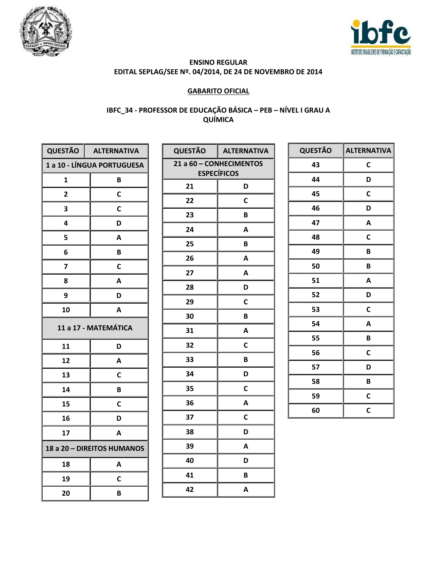



## **GABARITO OFICIAL**

## IBFC\_34 - PROFESSOR DE EDUCAÇÃO BÁSICA - PEB - NÍVEL I GRAU A QUÍMICA

| <b>QUESTÃO</b>             | <b>ALTERNATIVA</b>         |  |
|----------------------------|----------------------------|--|
|                            | 1 a 10 - LÍNGUA PORTUGUESA |  |
| 1                          | B                          |  |
| 2                          | C                          |  |
| 3                          | C                          |  |
| 4                          | D                          |  |
| 5                          | Α                          |  |
| 6                          | B                          |  |
| 7                          | С                          |  |
| 8                          | A                          |  |
| 9                          | D                          |  |
| 10                         | A                          |  |
| 11 a 17 - MATEMÁTICA       |                            |  |
| 11                         | D                          |  |
| 12                         | A                          |  |
| 13                         | С                          |  |
| 14                         | В                          |  |
| 15                         | C                          |  |
| 16                         | D                          |  |
| 17                         | A                          |  |
| 18 a 20 - DIREITOS HUMANOS |                            |  |
| 18                         | А                          |  |
| 19                         | С                          |  |
| 20                         | B                          |  |

| <b>QUESTÃO</b>          | <b>ALTERNATIVA</b> |
|-------------------------|--------------------|
| 21 a 60 - CONHECIMENTOS |                    |
|                         | <b>ESPECÍFICOS</b> |
| 21                      | D                  |
| 22                      | C                  |
| 23                      | B                  |
| 24                      | A                  |
| 25                      | B                  |
| 26                      | A                  |
| 27                      | A                  |
| 28                      | D                  |
| 29                      | C                  |
| 30                      | B                  |
| 31                      | A                  |
| 32                      | C                  |
| 33                      | B                  |
| 34                      | D                  |
| 35                      | C                  |
| 36                      | A                  |
| 37                      | C                  |
| 38                      | D                  |
| 39                      | A                  |
| 40                      | D                  |
| 41                      | B                  |
| 42                      | Α                  |

| <b>QUESTÃO</b> | <b>ALTERNATIVA</b> |
|----------------|--------------------|
| 43             | C                  |
| 44             | D                  |
| 45             | C                  |
| 46             | D                  |
| 47             | A                  |
| 48             | $\mathbf c$        |
| 49             | B                  |
| 50             | B                  |
| 51             | A                  |
| 52             | D                  |
| 53             | C                  |
| 54             | A                  |
| 55             | B                  |
| 56             | C                  |
| 57             | D                  |
| 58             | B                  |
| 59             | C                  |
| 60             | C                  |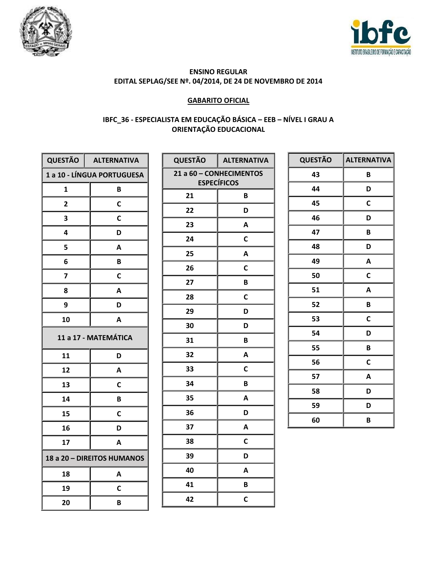



#### **GABARITO OFICIAL**

## IBFC\_36 - ESPECIALISTA EM EDUCAÇÃO BÁSICA - EEB - NÍVEL I GRAU A **ORIENTAÇÃO EDUCACIONAL**

|                            | QUESTÃO   ALTERNATIVA      |  |
|----------------------------|----------------------------|--|
|                            | 1 a 10 - LÍNGUA PORTUGUESA |  |
| 1                          | B                          |  |
| 2                          | С                          |  |
| 3                          | C                          |  |
| 4                          | D                          |  |
| 5                          | A                          |  |
| 6                          | В                          |  |
| 7                          | C                          |  |
| 8                          | A                          |  |
| 9                          | D                          |  |
| 10                         | A                          |  |
| 11 a 17 - MATEMÁTICA       |                            |  |
| 11                         | D                          |  |
| 12                         | A                          |  |
| 13                         | C                          |  |
| 14                         | B                          |  |
| 15                         | C                          |  |
| 16                         | D                          |  |
| 17                         | А                          |  |
| 18 a 20 - DIREITOS HUMANOS |                            |  |
| 18                         | Α                          |  |
| 19                         | С                          |  |
| 20                         | В                          |  |

| <b>QUESTÃO</b> | <b>ALTERNATIVA</b>                            |
|----------------|-----------------------------------------------|
|                | 21 a 60 - CONHECIMENTOS<br><b>ESPECÍFICOS</b> |
| 21             | B                                             |
|                |                                               |
| 22             | D                                             |
| 23             | A                                             |
| 24             | C                                             |
| 25             | A                                             |
| 26             | C                                             |
| 27             | B                                             |
| 28             | C                                             |
| 29             | D                                             |
| 30             | D                                             |
| 31             | B                                             |
| 32             | A                                             |
| 33             | C                                             |
| 34             | B                                             |
| 35             | A                                             |
| 36             | D                                             |
| 37             | A                                             |
| 38             | C                                             |
| 39             | D                                             |
| 40             | A                                             |
| 41             | B                                             |
| 42             | C                                             |

| <b>QUESTÃO</b> | <b>ALTERNATIVA</b> |
|----------------|--------------------|
| 43             | B                  |
| 44             | D                  |
| 45             | C                  |
| 46             | D                  |
| 47             | B                  |
| 48             | D                  |
| 49             | A                  |
| 50             | C                  |
| 51             | A                  |
| 52             | B                  |
| 53             | $\mathbf C$        |
| 54             | D                  |
| 55             | B                  |
| 56             | C                  |
| 57             | A                  |
| 58             | D                  |
| 59             | D                  |
| 60             | B                  |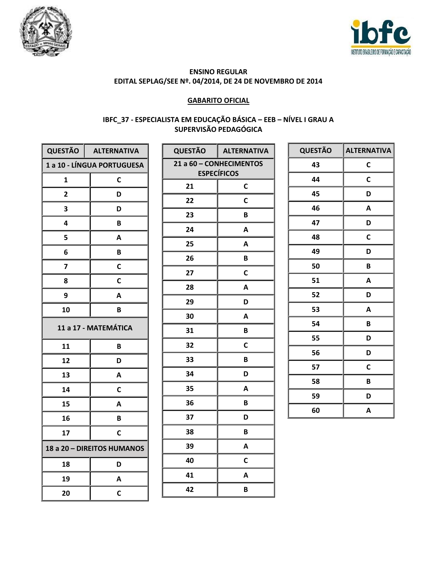



#### **GABARITO OFICIAL**

## IBFC\_37 - ESPECIALISTA EM EDUCAÇÃO BÁSICA - EEB - NÍVEL I GRAU A SUPERVISÃO PEDAGÓGICA

|                            | QUESTÃO   ALTERNATIVA      |  |
|----------------------------|----------------------------|--|
|                            | 1 a 10 - LÍNGUA PORTUGUESA |  |
| 1                          | C                          |  |
| $\overline{2}$             | D                          |  |
| 3                          | D                          |  |
| 4                          | B                          |  |
| 5                          | Α                          |  |
| 6                          | B                          |  |
| 7                          | C                          |  |
| 8                          | C                          |  |
| 9                          | А                          |  |
| 10                         | B                          |  |
| 11 a 17 - MATEMÁTICA       |                            |  |
| 11                         | B                          |  |
| 12                         | D                          |  |
| 13                         | А                          |  |
| 14                         | С                          |  |
| 15                         | А                          |  |
| 16                         | B                          |  |
| 17                         | С                          |  |
| 18 a 20 - DIREITOS HUMANOS |                            |  |
| 18                         | D                          |  |
| 19                         | A                          |  |
| 20                         | C                          |  |

| <b>QUESTÃO</b>                                | <b>ALTERNATIVA</b> |  |
|-----------------------------------------------|--------------------|--|
| 21 a 60 - CONHECIMENTOS<br><b>ESPECÍFICOS</b> |                    |  |
| 21                                            | C                  |  |
| 22                                            | C                  |  |
| 23                                            | B                  |  |
| 24                                            | A                  |  |
| 25                                            | A                  |  |
| 26                                            | B                  |  |
| 27                                            | C                  |  |
| 28                                            | A                  |  |
| 29                                            | D                  |  |
| 30                                            | A                  |  |
| 31                                            | B                  |  |
| 32                                            | C                  |  |
| 33                                            | B                  |  |
| 34                                            | D                  |  |
| 35                                            | Α                  |  |
| 36                                            | B                  |  |
| 37                                            | D                  |  |
| 38                                            | B                  |  |
| 39                                            | Α                  |  |
| 40                                            | C                  |  |
| 41                                            | A                  |  |
| 42                                            | B                  |  |

| <b>QUESTÃO</b> | <b>ALTERNATIVA</b> |
|----------------|--------------------|
| 43             | C                  |
| 44             | C                  |
| 45             | D                  |
| 46             | A                  |
| 47             | D                  |
| 48             | C                  |
| 49             | D                  |
| 50             | B                  |
| 51             | A                  |
| 52             | D                  |
| 53             | A                  |
| 54             | B                  |
| 55             | D                  |
| 56             | D                  |
| 57             | C                  |
| 58             | B                  |
| 59             | D                  |
| 60             | A                  |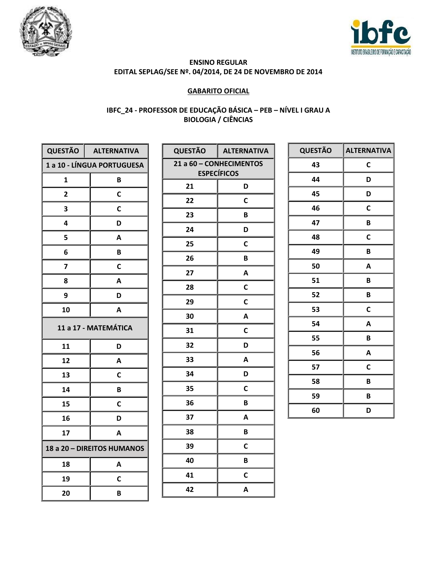



## **GABARITO OFICIAL**

# IBFC\_24 - PROFESSOR DE EDUCAÇÃO BÁSICA - PEB - NÍVEL I GRAU A<br>BIOLOGIA / CIÊNCIAS

| <b>QUESTÃO</b>             | <b>ALTERNATIVA</b> |  |
|----------------------------|--------------------|--|
| 1 a 10 - LÍNGUA PORTUGUESA |                    |  |
| 1                          | B                  |  |
| 2                          | C                  |  |
| 3                          | C                  |  |
| 4                          | D                  |  |
| 5                          | Α                  |  |
| 6                          | B                  |  |
| 7                          | С                  |  |
| 8                          | Α                  |  |
| 9                          | D                  |  |
| 10                         | A                  |  |
| 11 a 17 - MATEMÁTICA       |                    |  |
| 11                         | D                  |  |
| 12                         | A                  |  |
| 13                         | C                  |  |
| 14                         | B                  |  |
| 15                         | С                  |  |
| 16                         | D                  |  |
| 17                         | Α                  |  |
| 18 a 20 - DIREITOS HUMANOS |                    |  |
| 18                         | Α                  |  |
| 19                         | C                  |  |
| 20                         | B                  |  |

| <b>QUESTÃO</b>                                | <b>ALTERNATIVA</b> |
|-----------------------------------------------|--------------------|
| 21 a 60 - CONHECIMENTOS<br><b>ESPECÍFICOS</b> |                    |
|                                               |                    |
| 21                                            | D                  |
| 22                                            | C                  |
| 23                                            | B                  |
| 24                                            | D                  |
| 25                                            | C                  |
| 26                                            | B                  |
| 27                                            | A                  |
| 28                                            | C                  |
| 29                                            | C                  |
| 30                                            | A                  |
| 31                                            | C                  |
| 32                                            | D                  |
| 33                                            | A                  |
| 34                                            | D                  |
| 35                                            | C                  |
| 36                                            | B                  |
| 37                                            | A                  |
| 38                                            | B                  |
| 39                                            | C                  |
| 40                                            | B                  |
| 41                                            | C                  |
| 42                                            | A                  |

| <b>QUESTÃO</b> | <b>ALTERNATIVA</b> |
|----------------|--------------------|
| 43             | C                  |
| 44             | D                  |
| 45             | D                  |
| 46             | C                  |
| 47             | B                  |
| 48             | C                  |
| 49             | B                  |
| 50             | A                  |
| 51             | B                  |
| 52             | B                  |
| 53             | C                  |
| 54             | A                  |
| 55             | B                  |
| 56             | A                  |
| 57             | C                  |
| 58             | B                  |
| 59             | B                  |
| 60             | D                  |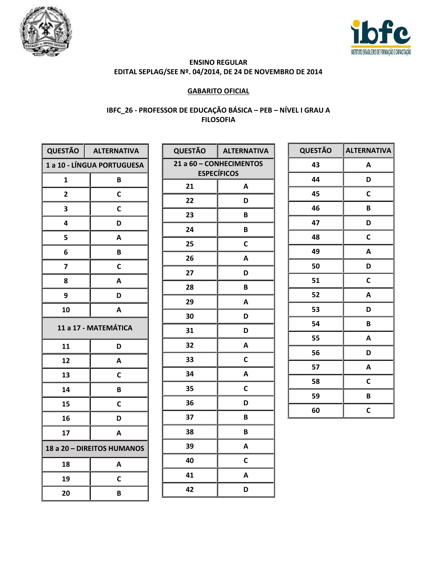



## **GABARITO OFICIAL**

## IBFC\_26 - PROFESSOR DE EDUCAÇÃO BÁSICA - PEB - NÍVEL I GRAU A **FILOSOFIA**

| QUESTÃO                    | <b>ALTERNATIVA</b>         |  |
|----------------------------|----------------------------|--|
|                            | 1 a 10 - LÍNGUA PORTUGUESA |  |
| 1                          | B                          |  |
| $\overline{\mathbf{c}}$    | C                          |  |
| 3                          | С                          |  |
| 4                          | D                          |  |
| 5                          | Α                          |  |
| 6                          | B                          |  |
| 7                          | C                          |  |
| 8                          | A                          |  |
| 9                          | D                          |  |
| 10                         | А                          |  |
| 11 a 17 - MATEMÁTICA       |                            |  |
| 11                         | D                          |  |
| 12                         | A                          |  |
| 13                         | C                          |  |
| 14                         | В                          |  |
| 15                         | C                          |  |
| 16                         | D                          |  |
| 17                         | A                          |  |
| 18 a 20 - DIREITOS HUMANOS |                            |  |
| 18                         | Α                          |  |
| 19                         | С                          |  |
| 20                         | B                          |  |

| <b>QUESTÃO</b>          | <b>ALTERNATIVA</b> |  |
|-------------------------|--------------------|--|
| 21 a 60 - CONHECIMENTOS |                    |  |
|                         | <b>ESPECÍFICOS</b> |  |
| 21                      | A                  |  |
| 22                      | D                  |  |
| 23                      | В                  |  |
| 24                      | B                  |  |
| 25                      | $\mathbf c$        |  |
| 26                      | Α                  |  |
| 27                      | D                  |  |
| 28                      | В                  |  |
| 29                      | A                  |  |
| 30                      | D                  |  |
| 31                      | D                  |  |
| 32                      | A                  |  |
| 33                      | C                  |  |
| 34                      | A                  |  |
| 35                      | $\mathbf C$        |  |
| 36                      | D                  |  |
| 37                      | B                  |  |
| 38                      | B                  |  |
| 39                      | A                  |  |
| 40                      | C                  |  |
| 41                      | A                  |  |
| 42                      | D                  |  |

| <b>QUESTÃO</b> | <b>ALTERNATIVA</b> |
|----------------|--------------------|
| 43             | A                  |
| 44             | D                  |
| 45             | C                  |
| 46             | B                  |
| 47             | D                  |
| 48             | C                  |
| 49             | A                  |
| 50             | D                  |
| 51             | $\mathbf c$        |
| 52             | A                  |
| 53             | D                  |
| 54             | B                  |
| 55             | A                  |
| 56             | D                  |
| 57             | A                  |
| 58             | C                  |
| 59             | B                  |
| 60             | C                  |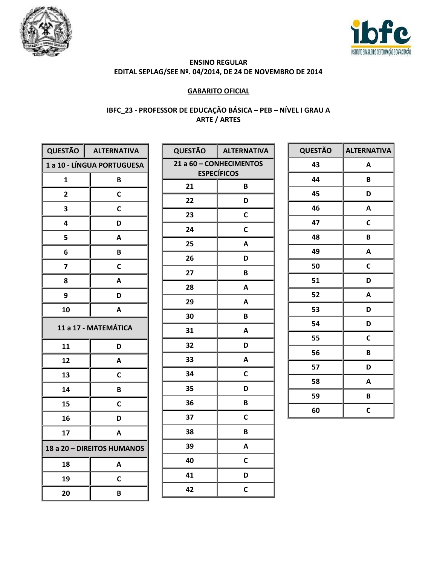



## **GABARITO OFICIAL**

## IBFC\_23 - PROFESSOR DE EDUCAÇÃO BÁSICA - PEB - NÍVEL I GRAU A **ARTE / ARTES**

|                            | QUESTÃO   ALTERNATIVA             |  |
|----------------------------|-----------------------------------|--|
|                            | <b>1 a 10 - LÍNGUA PORTUGUESA</b> |  |
| 1                          | B                                 |  |
| $\overline{2}$             | C                                 |  |
| 3                          | C                                 |  |
| 4                          | D                                 |  |
| 5                          | А                                 |  |
| 6                          | B                                 |  |
| 7                          | С                                 |  |
| 8                          | А                                 |  |
| 9                          | D                                 |  |
| 10                         | А                                 |  |
| 11 a 17 - MATEMÁTICA       |                                   |  |
| 11                         | D                                 |  |
| 12                         | A                                 |  |
| 13                         | С                                 |  |
| 14                         | В                                 |  |
| 15                         | C                                 |  |
| 16                         | D                                 |  |
| 17                         | Α                                 |  |
| 18 a 20 - DIREITOS HUMANOS |                                   |  |
| 18                         | A                                 |  |
| 19                         | C                                 |  |
| 20                         | В                                 |  |

| <b>QUESTÃO</b>          | <b>ALTERNATIVA</b> |  |
|-------------------------|--------------------|--|
| 21 a 60 - CONHECIMENTOS |                    |  |
|                         | <b>ESPECÍFICOS</b> |  |
| 21                      | B                  |  |
| 22                      | D                  |  |
| 23                      | C                  |  |
| 24                      | С                  |  |
| 25                      | A                  |  |
| 26                      | D                  |  |
| 27                      | B                  |  |
| 28                      | A                  |  |
| 29                      | A                  |  |
| 30                      | B                  |  |
| 31                      | A                  |  |
| 32                      | D                  |  |
| 33                      | A                  |  |
| 34                      | C                  |  |
| 35                      | D                  |  |
| 36                      | B                  |  |
| 37                      | C                  |  |
| 38                      | B                  |  |
| 39                      | A                  |  |
| 40                      | C                  |  |
| 41                      | D                  |  |
| 42                      | С                  |  |

| <b>QUESTÃO</b> | <b>ALTERNATIVA</b> |
|----------------|--------------------|
| 43             | A                  |
| 44             | B                  |
| 45             | D                  |
| 46             | A                  |
| 47             | C                  |
| 48             | B                  |
| 49             | A                  |
| 50             | C                  |
| 51             | D                  |
| 52             | A                  |
| 53             | D                  |
| 54             | D                  |
| 55             | C                  |
| 56             | B                  |
| 57             | D                  |
| 58             | A                  |
| 59             | B                  |
| 60             | C                  |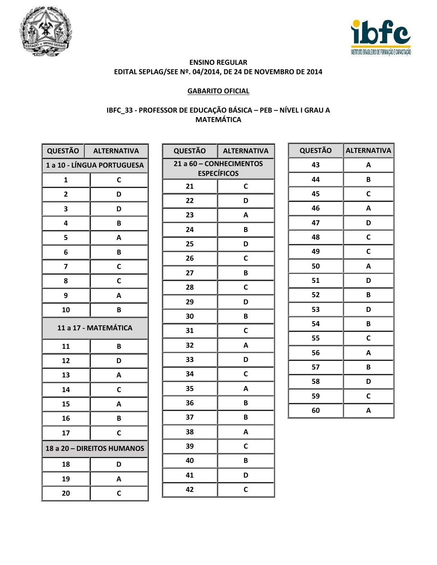



## **GABARITO OFICIAL**

## IBFC\_33 - PROFESSOR DE EDUCAÇÃO BÁSICA - PEB - NÍVEL I GRAU A **MATEMÁTICA**

|                                   | QUESTÃO   ALTERNATIVA |  |
|-----------------------------------|-----------------------|--|
| <b>1 a 10 - LÍNGUA PORTUGUESA</b> |                       |  |
| 1                                 | $\mathbf C$           |  |
| $\overline{2}$                    | D                     |  |
| 3                                 | D                     |  |
| 4                                 | B                     |  |
| 5                                 | A                     |  |
| 6                                 | B                     |  |
| 7                                 | C                     |  |
| 8                                 | C                     |  |
| 9                                 | A                     |  |
| 10                                | B                     |  |
| 11 a 17 - MATEMÁTICA              |                       |  |
| 11                                | B                     |  |
| 12                                | D                     |  |
| 13                                | A                     |  |
| 14                                | C                     |  |
| 15                                | Α                     |  |
| 16                                | В                     |  |
| 17                                | C                     |  |
| 18 a 20 - DIREITOS HUMANOS        |                       |  |
| 18                                | D                     |  |
| 19                                | A                     |  |
| 20                                | C                     |  |

| <b>QUESTÃO</b>                                | <b>ALTERNATIVA</b> |  |
|-----------------------------------------------|--------------------|--|
| 21 a 60 - CONHECIMENTOS<br><b>ESPECÍFICOS</b> |                    |  |
|                                               |                    |  |
| 21                                            | C                  |  |
| 22                                            | D                  |  |
| 23                                            | A                  |  |
| 24                                            | В                  |  |
| 25                                            | D                  |  |
| 26                                            | $\mathbf c$        |  |
| 27                                            | B                  |  |
| 28                                            | C                  |  |
| 29                                            | D                  |  |
| 30                                            | B                  |  |
| 31                                            | $\mathbf C$        |  |
| 32                                            | A                  |  |
| 33                                            | D                  |  |
| 34                                            | C                  |  |
| 35                                            | A                  |  |
| 36                                            | B                  |  |
| 37                                            | B                  |  |
| 38                                            | A                  |  |
| 39                                            | C                  |  |
| 40                                            | B                  |  |
| 41                                            | D                  |  |
| 42                                            | C                  |  |

| <b>QUESTÃO</b> | <b>ALTERNATIVA</b> |
|----------------|--------------------|
| 43             | A                  |
| 44             | B                  |
| 45             | C                  |
| 46             | A                  |
| 47             | D                  |
| 48             | $\mathbf c$        |
| 49             | C                  |
| 50             | A                  |
| 51             | D                  |
| 52             | B                  |
| 53             | D                  |
| 54             | B                  |
| 55             | C                  |
| 56             | A                  |
| 57             | B                  |
| 58             | D                  |
| 59             | C                  |
| 60             | A                  |